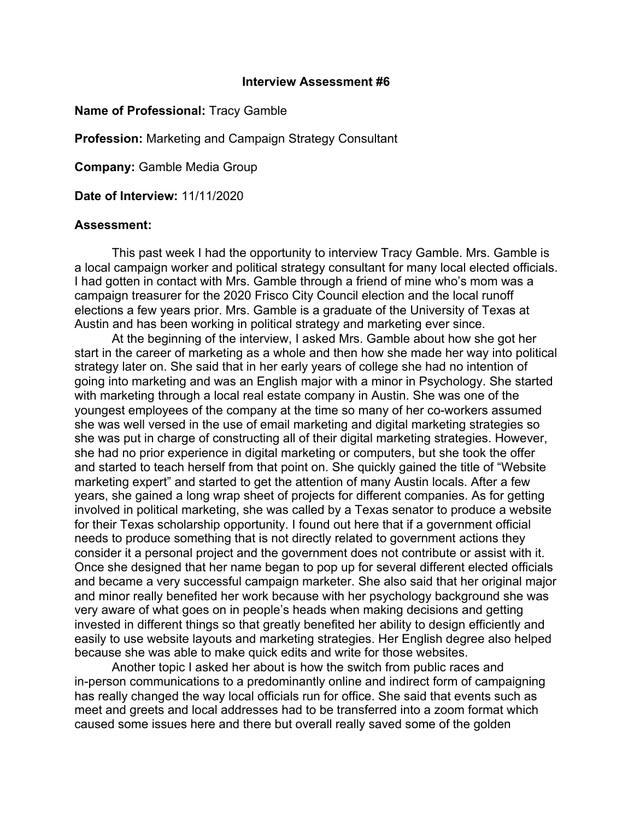## **Interview Assessment #6**

## **Name of Professional:** Tracy Gamble

**Profession:** Marketing and Campaign Strategy Consultant

**Company:** Gamble Media Group

**Date of Interview:** 11/11/2020

## **Assessment:**

This past week I had the opportunity to interview Tracy Gamble. Mrs. Gamble is a local campaign worker and political strategy consultant for many local elected officials. I had gotten in contact with Mrs. Gamble through a friend of mine who's mom was a campaign treasurer for the 2020 Frisco City Council election and the local runoff elections a few years prior. Mrs. Gamble is a graduate of the University of Texas at Austin and has been working in political strategy and marketing ever since.

At the beginning of the interview, I asked Mrs. Gamble about how she got her start in the career of marketing as a whole and then how she made her way into political strategy later on. She said that in her early years of college she had no intention of going into marketing and was an English major with a minor in Psychology. She started with marketing through a local real estate company in Austin. She was one of the youngest employees of the company at the time so many of her co-workers assumed she was well versed in the use of email marketing and digital marketing strategies so she was put in charge of constructing all of their digital marketing strategies. However, she had no prior experience in digital marketing or computers, but she took the offer and started to teach herself from that point on. She quickly gained the title of "Website marketing expert" and started to get the attention of many Austin locals. After a few years, she gained a long wrap sheet of projects for different companies. As for getting involved in political marketing, she was called by a Texas senator to produce a website for their Texas scholarship opportunity. I found out here that if a government official needs to produce something that is not directly related to government actions they consider it a personal project and the government does not contribute or assist with it. Once she designed that her name began to pop up for several different elected officials and became a very successful campaign marketer. She also said that her original major and minor really benefited her work because with her psychology background she was very aware of what goes on in people's heads when making decisions and getting invested in different things so that greatly benefited her ability to design efficiently and easily to use website layouts and marketing strategies. Her English degree also helped because she was able to make quick edits and write for those websites.

Another topic I asked her about is how the switch from public races and in-person communications to a predominantly online and indirect form of campaigning has really changed the way local officials run for office. She said that events such as meet and greets and local addresses had to be transferred into a zoom format which caused some issues here and there but overall really saved some of the golden